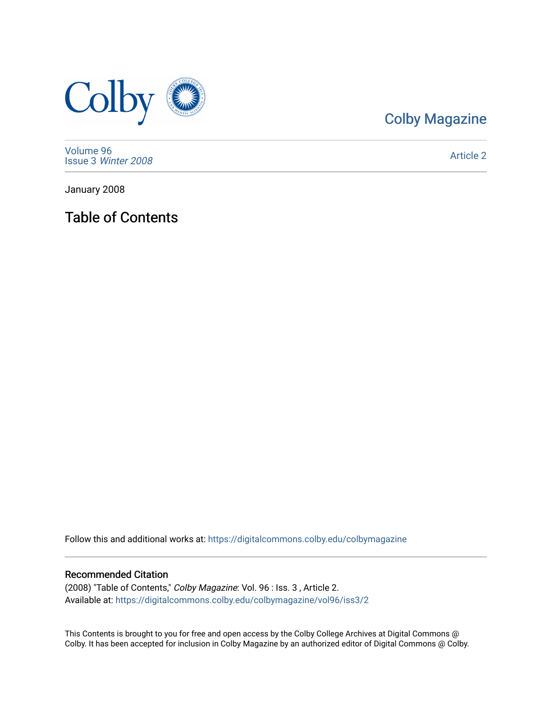

## [Colby Magazine](https://digitalcommons.colby.edu/colbymagazine)

[Volume 96](https://digitalcommons.colby.edu/colbymagazine/vol96) Issue 3 [Winter 2008](https://digitalcommons.colby.edu/colbymagazine/vol96/iss3) 

[Article 2](https://digitalcommons.colby.edu/colbymagazine/vol96/iss3/2) 

January 2008

Table of Contents

Follow this and additional works at: [https://digitalcommons.colby.edu/colbymagazine](https://digitalcommons.colby.edu/colbymagazine?utm_source=digitalcommons.colby.edu%2Fcolbymagazine%2Fvol96%2Fiss3%2F2&utm_medium=PDF&utm_campaign=PDFCoverPages)

## Recommended Citation

(2008) "Table of Contents," Colby Magazine: Vol. 96 : Iss. 3 , Article 2. Available at: [https://digitalcommons.colby.edu/colbymagazine/vol96/iss3/2](https://digitalcommons.colby.edu/colbymagazine/vol96/iss3/2?utm_source=digitalcommons.colby.edu%2Fcolbymagazine%2Fvol96%2Fiss3%2F2&utm_medium=PDF&utm_campaign=PDFCoverPages)

This Contents is brought to you for free and open access by the Colby College Archives at Digital Commons @ Colby. It has been accepted for inclusion in Colby Magazine by an authorized editor of Digital Commons @ Colby.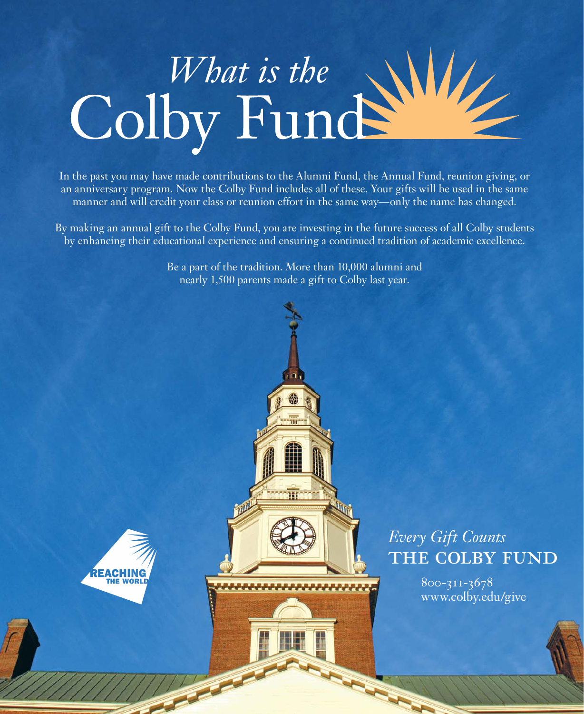

In the past you may have made contributions to the Alumni Fund, the Annual Fund, reunion giving, or an anniversary program. Now the Colby Fund includes all of these. Your gifts will be used in the same manner and will credit your class or reunion effort in the same way—only the name has changed.

By making an annual gift to the Colby Fund, you are investing in the future success of all Colby students by enhancing their educational experience and ensuring a continued tradition of academic excellence.

> Be a part of the tradition. More than 10,000 alumni and nearly 1,500 parents made a gift to Colby last year.



## *Every Gift Counts* THE COLBY FUND

 800-311-3678 www.colby.edu/give